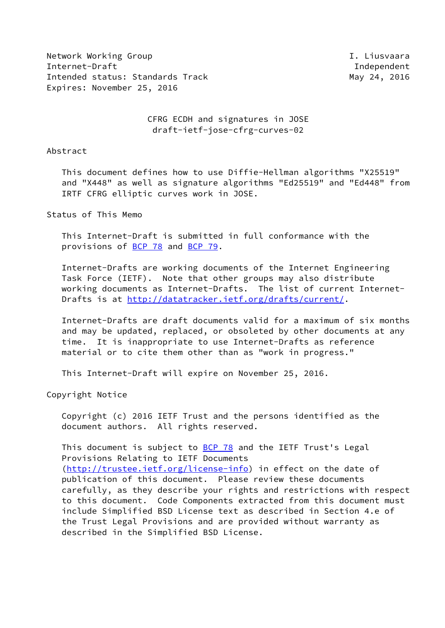Network Working Group **I. Liusvaara** Internet-Draft Independent Intended status: Standards Track May 24, 2016 Expires: November 25, 2016

 CFRG ECDH and signatures in JOSE draft-ietf-jose-cfrg-curves-02

Abstract

 This document defines how to use Diffie-Hellman algorithms "X25519" and "X448" as well as signature algorithms "Ed25519" and "Ed448" from IRTF CFRG elliptic curves work in JOSE.

Status of This Memo

 This Internet-Draft is submitted in full conformance with the provisions of [BCP 78](https://datatracker.ietf.org/doc/pdf/bcp78) and [BCP 79](https://datatracker.ietf.org/doc/pdf/bcp79).

 Internet-Drafts are working documents of the Internet Engineering Task Force (IETF). Note that other groups may also distribute working documents as Internet-Drafts. The list of current Internet- Drafts is at<http://datatracker.ietf.org/drafts/current/>.

 Internet-Drafts are draft documents valid for a maximum of six months and may be updated, replaced, or obsoleted by other documents at any time. It is inappropriate to use Internet-Drafts as reference material or to cite them other than as "work in progress."

This Internet-Draft will expire on November 25, 2016.

Copyright Notice

 Copyright (c) 2016 IETF Trust and the persons identified as the document authors. All rights reserved.

This document is subject to **[BCP 78](https://datatracker.ietf.org/doc/pdf/bcp78)** and the IETF Trust's Legal Provisions Relating to IETF Documents [\(http://trustee.ietf.org/license-info](http://trustee.ietf.org/license-info)) in effect on the date of publication of this document. Please review these documents carefully, as they describe your rights and restrictions with respect to this document. Code Components extracted from this document must include Simplified BSD License text as described in Section 4.e of the Trust Legal Provisions and are provided without warranty as described in the Simplified BSD License.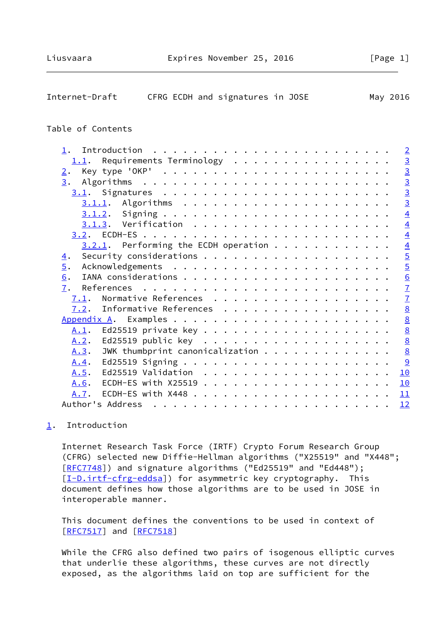<span id="page-1-1"></span>

| Internet-Draft<br>CFRG ECDH and signatures in JOSE                     | May 2016        |
|------------------------------------------------------------------------|-----------------|
| Table of Contents                                                      |                 |
| 1.                                                                     |                 |
| $1.1$ . Requirements Terminology                                       |                 |
| 2.                                                                     |                 |
| 3.                                                                     | $\frac{1}{4}$   |
|                                                                        |                 |
|                                                                        |                 |
|                                                                        |                 |
|                                                                        | $\overline{4}$  |
|                                                                        | $\overline{4}$  |
| $3.2.1$ . Performing the ECDH operation                                |                 |
| 4.                                                                     | $\frac{4}{5}$   |
|                                                                        |                 |
| $\overline{5}$ .                                                       |                 |
| 6.                                                                     | $\frac{6}{7}$   |
| 7.                                                                     |                 |
| Normative References<br>7.1.                                           |                 |
| Informative References<br>7.2.                                         | $\frac{8}{8}$   |
|                                                                        |                 |
| A.1.                                                                   | $\frac{8}{8}$   |
| Ed25519 public key $\ldots \ldots \ldots \ldots \ldots \ldots$<br>A.2. |                 |
| JWK thumbprint canonicalization<br>A.3.                                | $\underline{8}$ |
| A.4.                                                                   | 9               |
| A.5.                                                                   | 10              |
| A.6.                                                                   | 10              |
| A.7.                                                                   | 11              |

# <span id="page-1-0"></span>[1](#page-1-0). Introduction

 Internet Research Task Force (IRTF) Crypto Forum Research Group (CFRG) selected new Diffie-Hellman algorithms ("X25519" and "X448"; [\[RFC7748](https://datatracker.ietf.org/doc/pdf/rfc7748)]) and signature algorithms ("Ed25519" and "Ed448"); [\[I-D.irtf-cfrg-eddsa](#page-7-4)]) for asymmetric key cryptography. This document defines how those algorithms are to be used in JOSE in interoperable manner.

Author's Address . . . . . . . . . . . . . . . . . . . . . . . . [12](#page-12-0)

 This document defines the conventions to be used in context of [\[RFC7517](https://datatracker.ietf.org/doc/pdf/rfc7517)] and [[RFC7518](https://datatracker.ietf.org/doc/pdf/rfc7518)]

 While the CFRG also defined two pairs of isogenous elliptic curves that underlie these algorithms, these curves are not directly exposed, as the algorithms laid on top are sufficient for the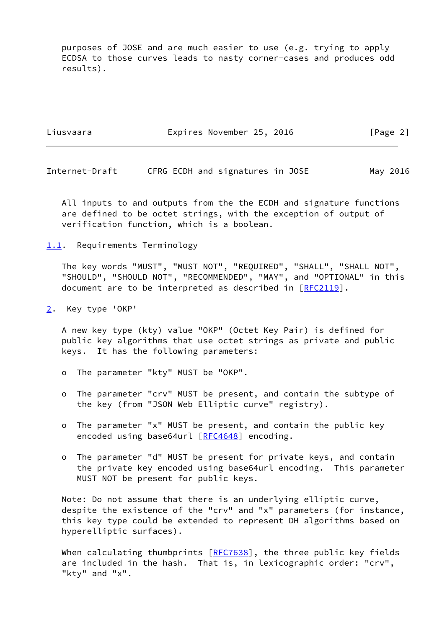purposes of JOSE and are much easier to use (e.g. trying to apply ECDSA to those curves leads to nasty corner-cases and produces odd results).

Liusvaara Expires November 25, 2016 [Page 2]

<span id="page-2-1"></span>Internet-Draft CFRG ECDH and signatures in JOSE May 2016

 All inputs to and outputs from the the ECDH and signature functions are defined to be octet strings, with the exception of output of verification function, which is a boolean.

<span id="page-2-0"></span>[1.1](#page-2-0). Requirements Terminology

 The key words "MUST", "MUST NOT", "REQUIRED", "SHALL", "SHALL NOT", "SHOULD", "SHOULD NOT", "RECOMMENDED", "MAY", and "OPTIONAL" in this document are to be interpreted as described in [\[RFC2119](https://datatracker.ietf.org/doc/pdf/rfc2119)].

<span id="page-2-2"></span>[2](#page-2-2). Key type 'OKP'

 A new key type (kty) value "OKP" (Octet Key Pair) is defined for public key algorithms that use octet strings as private and public keys. It has the following parameters:

- o The parameter "kty" MUST be "OKP".
- o The parameter "crv" MUST be present, and contain the subtype of the key (from "JSON Web Elliptic curve" registry).
- o The parameter "x" MUST be present, and contain the public key encoded using base64url [[RFC4648\]](https://datatracker.ietf.org/doc/pdf/rfc4648) encoding.
- o The parameter "d" MUST be present for private keys, and contain the private key encoded using base64url encoding. This parameter MUST NOT be present for public keys.

 Note: Do not assume that there is an underlying elliptic curve, despite the existence of the "crv" and "x" parameters (for instance, this key type could be extended to represent DH algorithms based on hyperelliptic surfaces).

When calculating thumbprints  $[RFC7638]$  $[RFC7638]$ , the three public key fields are included in the hash. That is, in lexicographic order: "crv", "kty" and "x".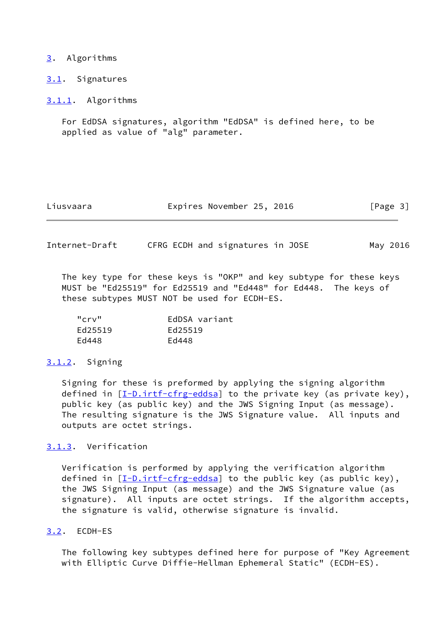### <span id="page-3-0"></span>[3](#page-3-0). Algorithms

<span id="page-3-1"></span>[3.1](#page-3-1). Signatures

<span id="page-3-2"></span>[3.1.1](#page-3-2). Algorithms

 For EdDSA signatures, algorithm "EdDSA" is defined here, to be applied as value of "alg" parameter.

| Liusvaara |  | Expires November 25, 2016 |  | [Page 3] |  |
|-----------|--|---------------------------|--|----------|--|
|-----------|--|---------------------------|--|----------|--|

<span id="page-3-4"></span>Internet-Draft CFRG ECDH and signatures in JOSE May 2016

 The key type for these keys is "OKP" and key subtype for these keys MUST be "Ed25519" for Ed25519 and "Ed448" for Ed448. The keys of these subtypes MUST NOT be used for ECDH-ES.

| "crv"   | EdDSA variant |
|---------|---------------|
| Ed25519 | Ed25519       |
| Ed448   | Ed448         |

### <span id="page-3-3"></span>[3.1.2](#page-3-3). Signing

 Signing for these is preformed by applying the signing algorithm defined in  $[I-D.int-crg-eddsa]$  to the private key (as private key), public key (as public key) and the JWS Signing Input (as message). The resulting signature is the JWS Signature value. All inputs and outputs are octet strings.

## <span id="page-3-5"></span>[3.1.3](#page-3-5). Verification

 Verification is performed by applying the verification algorithm defined in  $[I-D.int-crg-eddsa]$  to the public key (as public key), the JWS Signing Input (as message) and the JWS Signature value (as signature). All inputs are octet strings. If the algorithm accepts, the signature is valid, otherwise signature is invalid.

### <span id="page-3-6"></span>[3.2](#page-3-6). ECDH-ES

 The following key subtypes defined here for purpose of "Key Agreement with Elliptic Curve Diffie-Hellman Ephemeral Static" (ECDH-ES).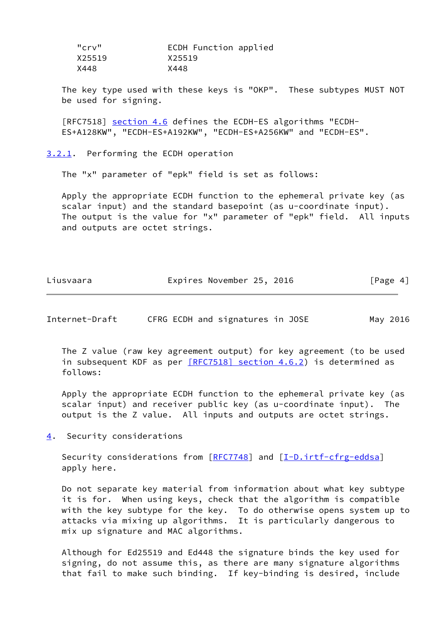| "crv"  | ECDH Function applied |
|--------|-----------------------|
| X25519 | X25519                |
| X448   | X448                  |

 The key type used with these keys is "OKP". These subtypes MUST NOT be used for signing.

[RFC7518] section 4.6 defines the ECDH-ES algorithms "ECDH-ES+A128KW", "ECDH-ES+A192KW", "ECDH-ES+A256KW" and "ECDH-ES".

<span id="page-4-0"></span>[3.2.1](#page-4-0). Performing the ECDH operation

The "x" parameter of "epk" field is set as follows:

 Apply the appropriate ECDH function to the ephemeral private key (as scalar input) and the standard basepoint (as u-coordinate input). The output is the value for "x" parameter of "epk" field. All inputs and outputs are octet strings.

| Liusvaara | Expires November 25, 2016 |  | [Page 4] |  |
|-----------|---------------------------|--|----------|--|
|           |                           |  |          |  |

<span id="page-4-2"></span>Internet-Draft CFRG ECDH and signatures in JOSE May 2016

 The Z value (raw key agreement output) for key agreement (to be used in subsequent KDF as per [\[RFC7518\] section](https://datatracker.ietf.org/doc/pdf/rfc7518#section-4.6.2) 4.6.2) is determined as follows:

 Apply the appropriate ECDH function to the ephemeral private key (as scalar input) and receiver public key (as u-coordinate input). The output is the Z value. All inputs and outputs are octet strings.

<span id="page-4-1"></span>[4](#page-4-1). Security considerations

Security considerations from [\[RFC7748](https://datatracker.ietf.org/doc/pdf/rfc7748)] and [[I-D.irtf-cfrg-eddsa\]](#page-7-4) apply here.

 Do not separate key material from information about what key subtype it is for. When using keys, check that the algorithm is compatible with the key subtype for the key. To do otherwise opens system up to attacks via mixing up algorithms. It is particularly dangerous to mix up signature and MAC algorithms.

 Although for Ed25519 and Ed448 the signature binds the key used for signing, do not assume this, as there are many signature algorithms that fail to make such binding. If key-binding is desired, include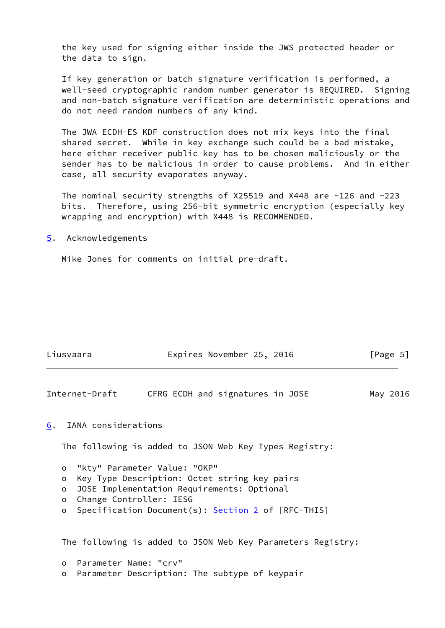the key used for signing either inside the JWS protected header or the data to sign.

 If key generation or batch signature verification is performed, a well-seed cryptographic random number generator is REQUIRED. Signing and non-batch signature verification are deterministic operations and do not need random numbers of any kind.

 The JWA ECDH-ES KDF construction does not mix keys into the final shared secret. While in key exchange such could be a bad mistake, here either receiver public key has to be chosen maliciously or the sender has to be malicious in order to cause problems. And in either case, all security evaporates anyway.

The nominal security strengths of X25519 and X448 are  $\sim$ 126 and  $\sim$ 223 bits. Therefore, using 256-bit symmetric encryption (especially key wrapping and encryption) with X448 is RECOMMENDED.

### <span id="page-5-0"></span>[5](#page-5-0). Acknowledgements

Mike Jones for comments on initial pre-draft.

| Liusvaara | Expires November 25, 2016 |  | [Page 5] |  |
|-----------|---------------------------|--|----------|--|
|           |                           |  |          |  |

<span id="page-5-2"></span>Internet-Draft CFRG ECDH and signatures in JOSE May 2016

### <span id="page-5-1"></span>[6](#page-5-1). IANA considerations

The following is added to JSON Web Key Types Registry:

o "kty" Parameter Value: "OKP"

- o Key Type Description: Octet string key pairs
- o JOSE Implementation Requirements: Optional
- o Change Controller: IESG
- o Specification Document(s): [Section 2](#page-2-2) of [RFC-THIS]

The following is added to JSON Web Key Parameters Registry:

- o Parameter Name: "crv"
- o Parameter Description: The subtype of keypair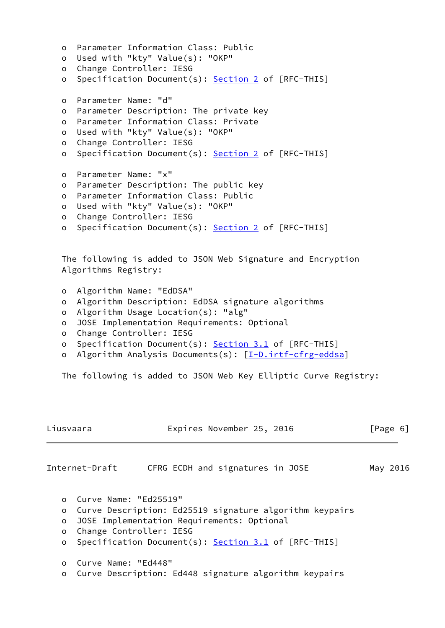```
 o Parameter Information Class: Public
 o Used with "kty" Value(s): "OKP"
 o Change Controller: IESG
 Section 2 of [RFC-THIS]
 o Parameter Name: "d"
 o Parameter Description: The private key
 o Parameter Information Class: Private
 o Used with "kty" Value(s): "OKP"
 o Change Controller: IESG
 o Specification Document(s): Section 2 of [RFC-THIS]
 o Parameter Name: "x"
 o Parameter Description: The public key
 o Parameter Information Class: Public
 o Used with "kty" Value(s): "OKP"
 o Change Controller: IESG
 o Specification Document(s): Section 2 of [RFC-THIS]
 The following is added to JSON Web Signature and Encryption
 Algorithms Registry:
 o Algorithm Name: "EdDSA"
 o Algorithm Description: EdDSA signature algorithms
 o Algorithm Usage Location(s): "alg"
 o JOSE Implementation Requirements: Optional
```
- o Change Controller: IESG
- o Specification Document(s): [Section 3.1](#page-3-1) of [RFC-THIS]
- o Algorithm Analysis Documents(s): [\[I-D.irtf-cfrg-eddsa](#page-7-4)]

The following is added to JSON Web Key Elliptic Curve Registry:

<span id="page-6-0"></span>

| Liusvaara | Expires November 25, 2016                               | [Page 6] |
|-----------|---------------------------------------------------------|----------|
|           | Internet-Draft<br>CFRG ECDH and signatures in JOSE      | May 2016 |
| $\Omega$  | Curve Name: "Ed25519"                                   |          |
| O         | Curve Description: Ed25519 signature algorithm keypairs |          |
| $\circ$   | JOSE Implementation Requirements: Optional              |          |
| $\circ$   | Change Controller: IESG                                 |          |
| $\circ$   | Specification Document(s): Section 3.1 of [RFC-THIS]    |          |
| $\circ$   | Curve Name: "Ed448"                                     |          |
| $\circ$   | Curve Description: Ed448 signature algorithm keypairs   |          |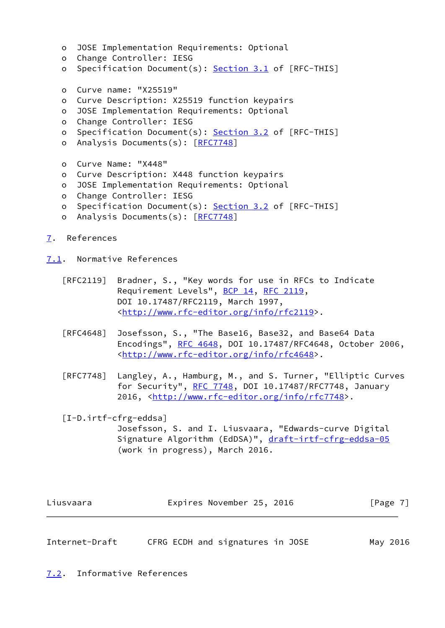```
 o JOSE Implementation Requirements: Optional
   o Change Controller: IESG
   o Specification Document(s): Section 3.1 of [RFC-THIS]
   o Curve name: "X25519"
   o Curve Description: X25519 function keypairs
   o JOSE Implementation Requirements: Optional
   o Change Controller: IESG
   Section 3.2 of [RFC-THIS]
   o Analysis Documents(s): [RFC7748]
   o Curve Name: "X448"
   o Curve Description: X448 function keypairs
   o JOSE Implementation Requirements: Optional
   o Change Controller: IESG
   o Specification Document(s): Section 3.2 of [RFC-THIS]
  RFC7748]
7. References
```
<span id="page-7-0"></span>

<span id="page-7-1"></span>[7.1](#page-7-1). Normative References

- [RFC2119] Bradner, S., "Key words for use in RFCs to Indicate Requirement Levels", [BCP 14](https://datatracker.ietf.org/doc/pdf/bcp14), [RFC 2119](https://datatracker.ietf.org/doc/pdf/rfc2119), DOI 10.17487/RFC2119, March 1997, <<http://www.rfc-editor.org/info/rfc2119>>.
- [RFC4648] Josefsson, S., "The Base16, Base32, and Base64 Data Encodings", [RFC 4648,](https://datatracker.ietf.org/doc/pdf/rfc4648) DOI 10.17487/RFC4648, October 2006, <<http://www.rfc-editor.org/info/rfc4648>>.
- [RFC7748] Langley, A., Hamburg, M., and S. Turner, "Elliptic Curves for Security", [RFC 7748](https://datatracker.ietf.org/doc/pdf/rfc7748), DOI 10.17487/RFC7748, January 2016, [<http://www.rfc-editor.org/info/rfc7748](http://www.rfc-editor.org/info/rfc7748)>.
- <span id="page-7-4"></span> [I-D.irtf-cfrg-eddsa] Josefsson, S. and I. Liusvaara, "Edwards-curve Digital Signature Algorithm (EdDSA)", [draft-irtf-cfrg-eddsa-05](https://datatracker.ietf.org/doc/pdf/draft-irtf-cfrg-eddsa-05) (work in progress), March 2016.

| Liusvaara | Expires November 25, 2016 |  | [Page 7] |
|-----------|---------------------------|--|----------|
|-----------|---------------------------|--|----------|

<span id="page-7-3"></span><span id="page-7-2"></span>Internet-Draft CFRG ECDH and signatures in JOSE May 2016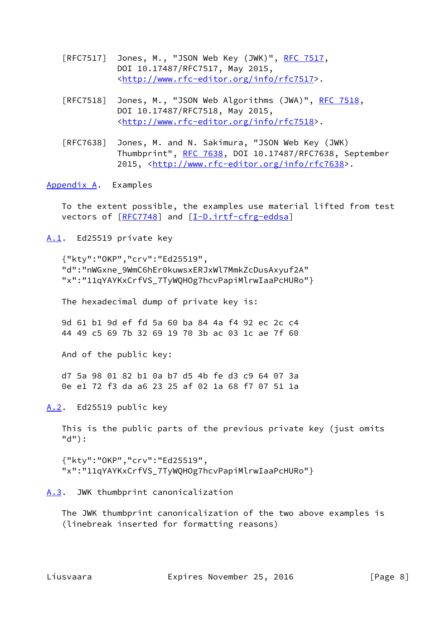- [RFC7517] Jones, M., "JSON Web Key (JWK)", [RFC 7517,](https://datatracker.ietf.org/doc/pdf/rfc7517) DOI 10.17487/RFC7517, May 2015, <<http://www.rfc-editor.org/info/rfc7517>>.
- [RFC7518] Jones, M., "JSON Web Algorithms (JWA)", [RFC 7518,](https://datatracker.ietf.org/doc/pdf/rfc7518) DOI 10.17487/RFC7518, May 2015, <<http://www.rfc-editor.org/info/rfc7518>>.
- [RFC7638] Jones, M. and N. Sakimura, "JSON Web Key (JWK) Thumbprint", [RFC 7638](https://datatracker.ietf.org/doc/pdf/rfc7638), DOI 10.17487/RFC7638, September 2015, [<http://www.rfc-editor.org/info/rfc7638](http://www.rfc-editor.org/info/rfc7638)>.

<span id="page-8-0"></span>[Appendix A.](#page-8-0) Examples

 To the extent possible, the examples use material lifted from test vectors of [[RFC7748\]](https://datatracker.ietf.org/doc/pdf/rfc7748) and [\[I-D.irtf-cfrg-eddsa](#page-7-4)]

<span id="page-8-1"></span>[A.1](#page-8-1). Ed25519 private key

 {"kty":"OKP","crv":"Ed25519", "d":"nWGxne\_9WmC6hEr0kuwsxERJxWl7MmkZcDusAxyuf2A" "x":"11qYAYKxCrfVS\_7TyWQHOg7hcvPapiMlrwIaaPcHURo"}

The hexadecimal dump of private key is:

 9d 61 b1 9d ef fd 5a 60 ba 84 4a f4 92 ec 2c c4 44 49 c5 69 7b 32 69 19 70 3b ac 03 1c ae 7f 60

And of the public key:

 d7 5a 98 01 82 b1 0a b7 d5 4b fe d3 c9 64 07 3a 0e e1 72 f3 da a6 23 25 af 02 1a 68 f7 07 51 1a

<span id="page-8-2"></span>[A.2](#page-8-2). Ed25519 public key

 This is the public parts of the previous private key (just omits "d"):

 {"kty":"OKP","crv":"Ed25519", "x":"11qYAYKxCrfVS\_7TyWQHOg7hcvPapiMlrwIaaPcHURo"}

<span id="page-8-3"></span>[A.3](#page-8-3). JWK thumbprint canonicalization

 The JWK thumbprint canonicalization of the two above examples is (linebreak inserted for formatting reasons)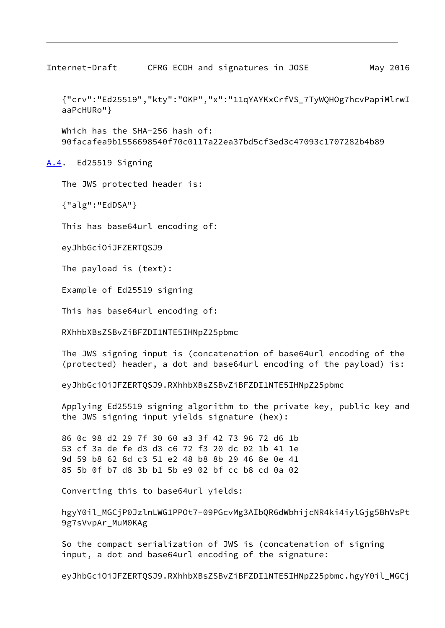<span id="page-9-1"></span>Internet-Draft CFRG ECDH and signatures in JOSE May 2016

 {"crv":"Ed25519","kty":"OKP","x":"11qYAYKxCrfVS\_7TyWQHOg7hcvPapiMlrwI aaPcHURo"}

Which has the SHA-256 hash of: 90facafea9b1556698540f70c0117a22ea37bd5cf3ed3c47093c1707282b4b89

<span id="page-9-0"></span>[A.4](#page-9-0). Ed25519 Signing

The JWS protected header is:

{"alg":"EdDSA"}

This has base64url encoding of:

eyJhbGciOiJFZERTQSJ9

The payload is (text):

Example of Ed25519 signing

This has base64url encoding of:

RXhhbXBsZSBvZiBFZDI1NTE5IHNpZ25pbmc

 The JWS signing input is (concatenation of base64url encoding of the (protected) header, a dot and base64url encoding of the payload) is:

eyJhbGciOiJFZERTQSJ9.RXhhbXBsZSBvZiBFZDI1NTE5IHNpZ25pbmc

 Applying Ed25519 signing algorithm to the private key, public key and the JWS signing input yields signature (hex):

 86 0c 98 d2 29 7f 30 60 a3 3f 42 73 96 72 d6 1b 53 cf 3a de fe d3 d3 c6 72 f3 20 dc 02 1b 41 1e 9d 59 b8 62 8d c3 51 e2 48 b8 8b 29 46 8e 0e 41 85 5b 0f b7 d8 3b b1 5b e9 02 bf cc b8 cd 0a 02

Converting this to base64url yields:

 hgyY0il\_MGCjP0JzlnLWG1PPOt7-09PGcvMg3AIbQR6dWbhijcNR4ki4iylGjg5BhVsPt 9g7sVvpAr\_MuM0KAg

 So the compact serialization of JWS is (concatenation of signing input, a dot and base64url encoding of the signature:

eyJhbGciOiJFZERTQSJ9.RXhhbXBsZSBvZiBFZDI1NTE5IHNpZ25pbmc.hgyY0il\_MGCj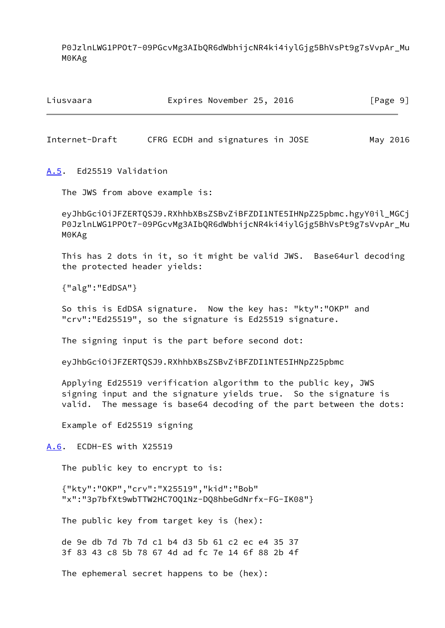P0JzlnLWG1PPOt7-09PGcvMg3AIbQR6dWbhijcNR4ki4iylGjg5BhVsPt9g7sVvpAr\_Mu M0KAg

| Liusvaara | Expires November 25, 2016 | [Page 9] |
|-----------|---------------------------|----------|
|           |                           |          |

<span id="page-10-1"></span>Internet-Draft CFRG ECDH and signatures in JOSE May 2016

<span id="page-10-0"></span>[A.5](#page-10-0). Ed25519 Validation

The JWS from above example is:

 eyJhbGciOiJFZERTQSJ9.RXhhbXBsZSBvZiBFZDI1NTE5IHNpZ25pbmc.hgyY0il\_MGCj P0JzlnLWG1PPOt7-09PGcvMg3AIbQR6dWbhijcNR4ki4iylGjg5BhVsPt9g7sVvpAr\_Mu M0KAg

 This has 2 dots in it, so it might be valid JWS. Base64url decoding the protected header yields:

{"alg":"EdDSA"}

 So this is EdDSA signature. Now the key has: "kty":"OKP" and "crv":"Ed25519", so the signature is Ed25519 signature.

The signing input is the part before second dot:

eyJhbGciOiJFZERTQSJ9.RXhhbXBsZSBvZiBFZDI1NTE5IHNpZ25pbmc

 Applying Ed25519 verification algorithm to the public key, JWS signing input and the signature yields true. So the signature is valid. The message is base64 decoding of the part between the dots:

Example of Ed25519 signing

<span id="page-10-2"></span>[A.6](#page-10-2). ECDH-ES with X25519

The public key to encrypt to is:

 {"kty":"OKP","crv":"X25519","kid":"Bob" "x":"3p7bfXt9wbTTW2HC7OQ1Nz-DQ8hbeGdNrfx-FG-IK08"}

The public key from target key is (hex):

 de 9e db 7d 7b 7d c1 b4 d3 5b 61 c2 ec e4 35 37 3f 83 43 c8 5b 78 67 4d ad fc 7e 14 6f 88 2b 4f

The ephemeral secret happens to be (hex):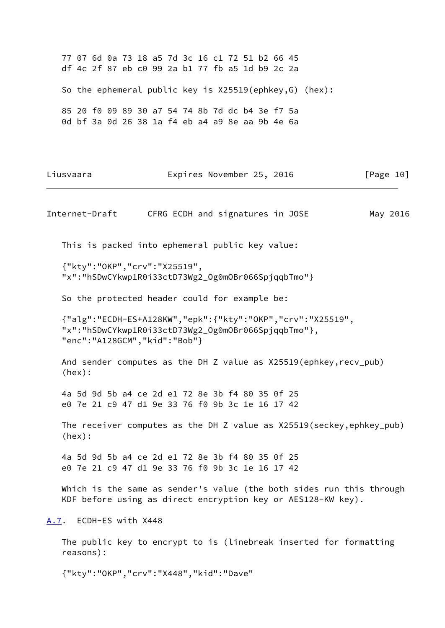77 07 6d 0a 73 18 a5 7d 3c 16 c1 72 51 b2 66 45 df 4c 2f 87 eb c0 99 2a b1 77 fb a5 1d b9 2c 2a So the ephemeral public key is X25519(ephkey,G) (hex): 85 20 f0 09 89 30 a7 54 74 8b 7d dc b4 3e f7 5a 0d bf 3a 0d 26 38 1a f4 eb a4 a9 8e aa 9b 4e 6a

Liusvaara Expires November 25, 2016 [Page 10]

<span id="page-11-1"></span>Internet-Draft CFRG ECDH and signatures in JOSE May 2016 This is packed into ephemeral public key value: {"kty":"OKP","crv":"X25519", "x":"hSDwCYkwp1R0i33ctD73Wg2\_Og0mOBr066SpjqqbTmo"} So the protected header could for example be: {"alg":"ECDH-ES+A128KW","epk":{"kty":"OKP","crv":"X25519", "x":"hSDwCYkwp1R0i33ctD73Wg2\_Og0mOBr066SpjqqbTmo"}, "enc":"A128GCM","kid":"Bob"} And sender computes as the DH Z value as X25519(ephkey,recv\_pub) (hex): 4a 5d 9d 5b a4 ce 2d e1 72 8e 3b f4 80 35 0f 25 e0 7e 21 c9 47 d1 9e 33 76 f0 9b 3c 1e 16 17 42 The receiver computes as the DH Z value as X25519(seckey,ephkey\_pub) (hex): 4a 5d 9d 5b a4 ce 2d e1 72 8e 3b f4 80 35 0f 25 e0 7e 21 c9 47 d1 9e 33 76 f0 9b 3c 1e 16 17 42 Which is the same as sender's value (the both sides run this through KDF before using as direct encryption key or AES128-KW key). [A.7](#page-11-0). ECDH-ES with X448 The public key to encrypt to is (linebreak inserted for formatting reasons):

<span id="page-11-0"></span>{"kty":"OKP","crv":"X448","kid":"Dave"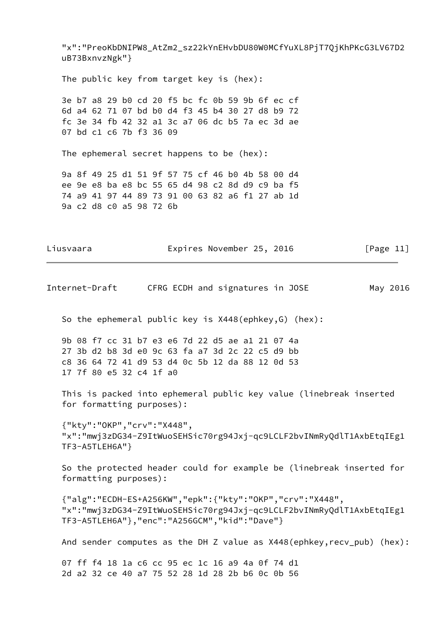"x":"PreoKbDNIPW8\_AtZm2\_sz22kYnEHvbDU80W0MCfYuXL8PjT7QjKhPKcG3LV67D2 uB73BxnvzNgk"}

The public key from target key is (hex):

 3e b7 a8 29 b0 cd 20 f5 bc fc 0b 59 9b 6f ec cf 6d a4 62 71 07 bd b0 d4 f3 45 b4 30 27 d8 b9 72 fc 3e 34 fb 42 32 a1 3c a7 06 dc b5 7a ec 3d ae 07 bd c1 c6 7b f3 36 09

The ephemeral secret happens to be (hex):

 9a 8f 49 25 d1 51 9f 57 75 cf 46 b0 4b 58 00 d4 ee 9e e8 ba e8 bc 55 65 d4 98 c2 8d d9 c9 ba f5 74 a9 41 97 44 89 73 91 00 63 82 a6 f1 27 ab 1d 9a c2 d8 c0 a5 98 72 6b

Liusvaara **Expires November 25, 2016** [Page 11]

<span id="page-12-0"></span>Internet-Draft CFRG ECDH and signatures in JOSE May 2016

So the ephemeral public key is X448(ephkey,G) (hex):

 9b 08 f7 cc 31 b7 e3 e6 7d 22 d5 ae a1 21 07 4a 27 3b d2 b8 3d e0 9c 63 fa a7 3d 2c 22 c5 d9 bb c8 36 64 72 41 d9 53 d4 0c 5b 12 da 88 12 0d 53 17 7f 80 e5 32 c4 1f a0

 This is packed into ephemeral public key value (linebreak inserted for formatting purposes):

 {"kty":"OKP","crv":"X448", "x":"mwj3zDG34-Z9ItWuoSEHSic70rg94Jxj-qc9LCLF2bvINmRyQdlT1AxbEtqIEg1 TF3-A5TLEH6A"}

 So the protected header could for example be (linebreak inserted for formatting purposes):

 {"alg":"ECDH-ES+A256KW","epk":{"kty":"OKP","crv":"X448", "x":"mwj3zDG34-Z9ItWuoSEHSic70rg94Jxj-qc9LCLF2bvINmRyQdlT1AxbEtqIEg1 TF3-A5TLEH6A"},"enc":"A256GCM","kid":"Dave"}

And sender computes as the DH Z value as X448(ephkey, recv\_pub) (hex):

 07 ff f4 18 1a c6 cc 95 ec 1c 16 a9 4a 0f 74 d1 2d a2 32 ce 40 a7 75 52 28 1d 28 2b b6 0c 0b 56